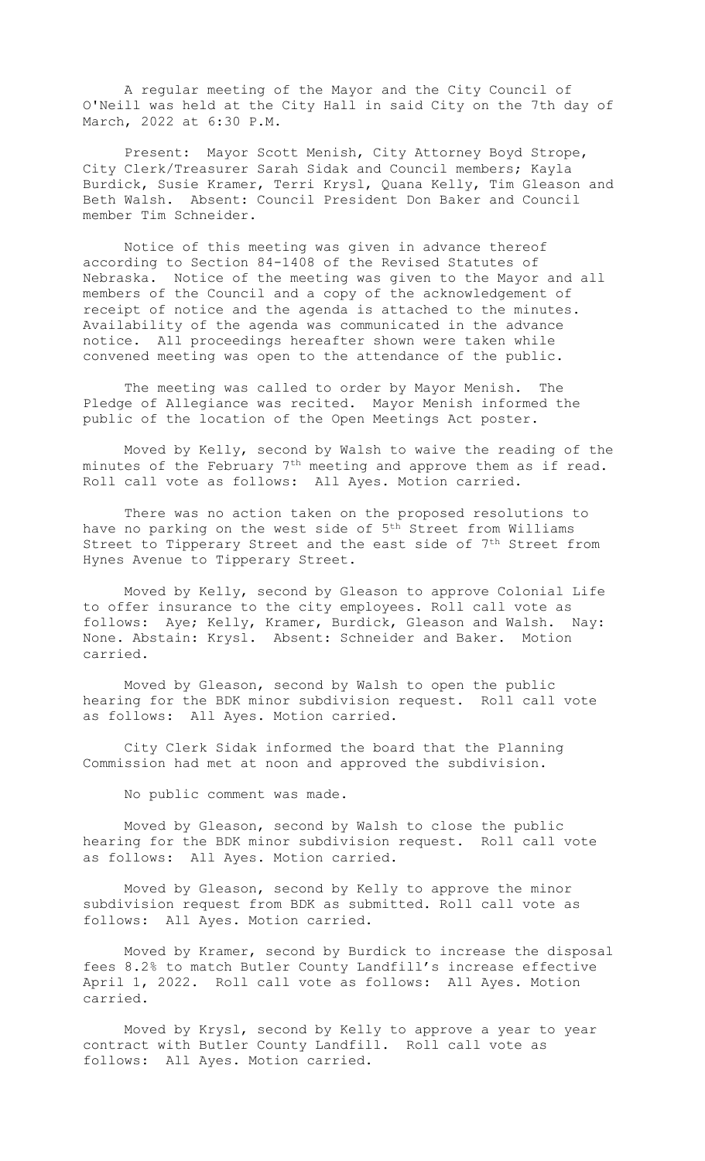A regular meeting of the Mayor and the City Council of O'Neill was held at the City Hall in said City on the 7th day of March, 2022 at 6:30 P.M.

Present: Mayor Scott Menish, City Attorney Boyd Strope, City Clerk/Treasurer Sarah Sidak and Council members; Kayla Burdick, Susie Kramer, Terri Krysl, Quana Kelly, Tim Gleason and Beth Walsh. Absent: Council President Don Baker and Council member Tim Schneider.

Notice of this meeting was given in advance thereof according to Section 84-1408 of the Revised Statutes of Nebraska. Notice of the meeting was given to the Mayor and all members of the Council and a copy of the acknowledgement of receipt of notice and the agenda is attached to the minutes. Availability of the agenda was communicated in the advance notice. All proceedings hereafter shown were taken while convened meeting was open to the attendance of the public.

The meeting was called to order by Mayor Menish. The Pledge of Allegiance was recited. Mayor Menish informed the public of the location of the Open Meetings Act poster.

Moved by Kelly, second by Walsh to waive the reading of the minutes of the February 7th meeting and approve them as if read. Roll call vote as follows: All Ayes. Motion carried.

There was no action taken on the proposed resolutions to have no parking on the west side of 5<sup>th</sup> Street from Williams Street to Tipperary Street and the east side of 7<sup>th</sup> Street from Hynes Avenue to Tipperary Street.

Moved by Kelly, second by Gleason to approve Colonial Life to offer insurance to the city employees. Roll call vote as follows: Aye; Kelly, Kramer, Burdick, Gleason and Walsh. Nay: None. Abstain: Krysl. Absent: Schneider and Baker. Motion carried.

Moved by Gleason, second by Walsh to open the public hearing for the BDK minor subdivision request. Roll call vote as follows: All Ayes. Motion carried.

City Clerk Sidak informed the board that the Planning Commission had met at noon and approved the subdivision.

No public comment was made.

Moved by Gleason, second by Walsh to close the public hearing for the BDK minor subdivision request. Roll call vote as follows: All Ayes. Motion carried.

Moved by Gleason, second by Kelly to approve the minor subdivision request from BDK as submitted. Roll call vote as follows: All Ayes. Motion carried.

Moved by Kramer, second by Burdick to increase the disposal fees 8.2% to match Butler County Landfill's increase effective April 1, 2022. Roll call vote as follows: All Ayes. Motion carried.

Moved by Krysl, second by Kelly to approve a year to year contract with Butler County Landfill. Roll call vote as follows: All Ayes. Motion carried.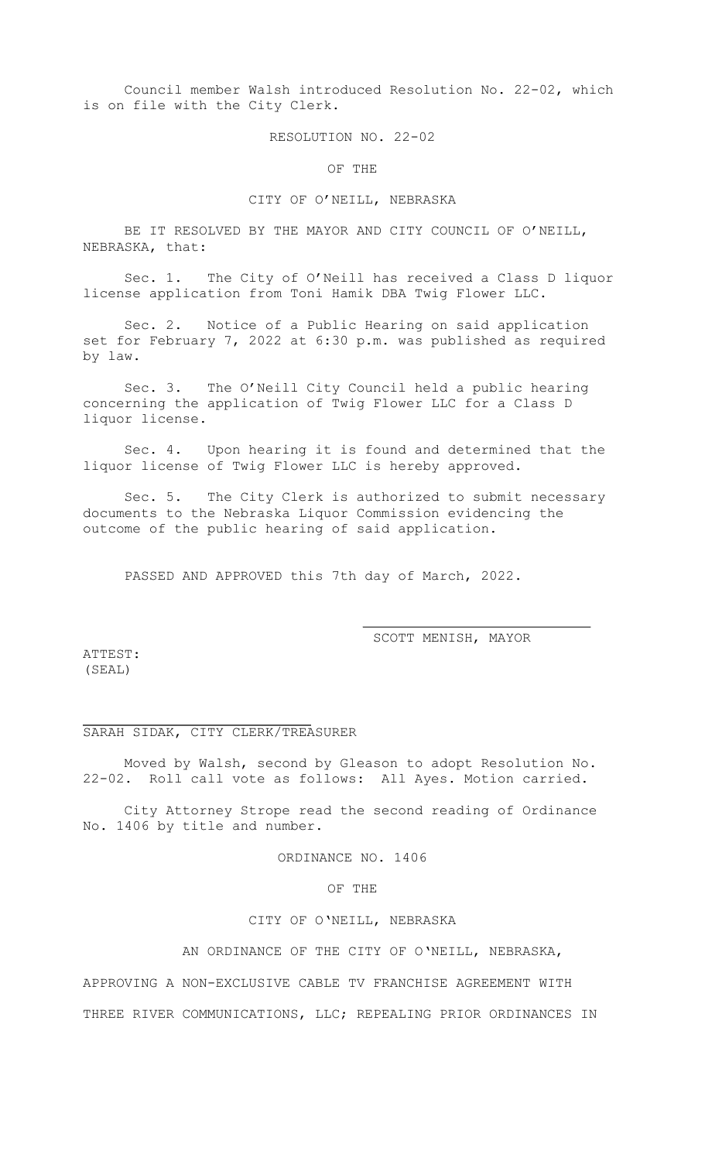Council member Walsh introduced Resolution No. 22-02, which is on file with the City Clerk.

RESOLUTION NO. 22-02

OF THE

### CITY OF O'NEILL, NEBRASKA

BE IT RESOLVED BY THE MAYOR AND CITY COUNCIL OF O'NEILL, NEBRASKA, that:

Sec. 1. The City of O'Neill has received a Class D liquor license application from Toni Hamik DBA Twig Flower LLC.

Sec. 2. Notice of a Public Hearing on said application set for February 7, 2022 at 6:30 p.m. was published as required by law.

Sec. 3. The O'Neill City Council held a public hearing concerning the application of Twig Flower LLC for a Class D liquor license.

Sec. 4. Upon hearing it is found and determined that the liquor license of Twig Flower LLC is hereby approved.

Sec. 5. The City Clerk is authorized to submit necessary documents to the Nebraska Liquor Commission evidencing the outcome of the public hearing of said application.

PASSED AND APPROVED this 7th day of March, 2022.

SCOTT MENISH, MAYOR

ATTEST: (SEAL)

### SARAH SIDAK, CITY CLERK/TREASURER

Moved by Walsh, second by Gleason to adopt Resolution No. 22-02. Roll call vote as follows: All Ayes. Motion carried.

City Attorney Strope read the second reading of Ordinance No. 1406 by title and number.

ORDINANCE NO. 1406

### OF THE

#### CITY OF O'NEILL, NEBRASKA

AN ORDINANCE OF THE CITY OF O'NEILL, NEBRASKA,

APPROVING A NON-EXCLUSIVE CABLE TV FRANCHISE AGREEMENT WITH

THREE RIVER COMMUNICATIONS, LLC; REPEALING PRIOR ORDINANCES IN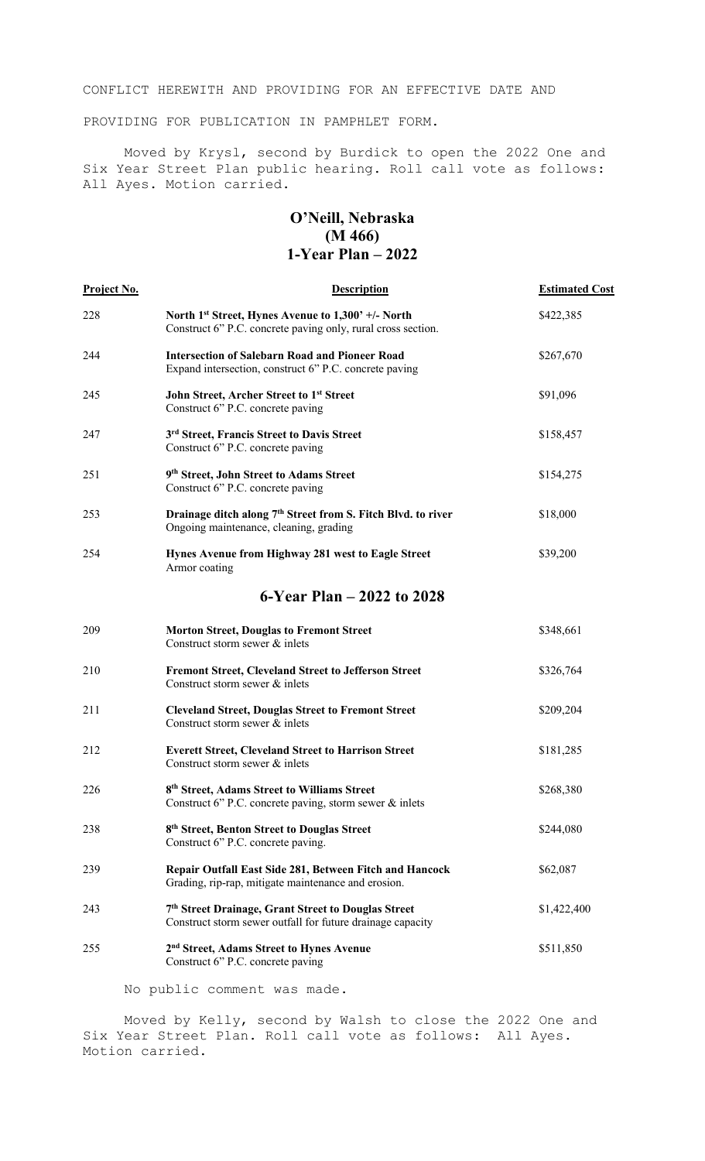CONFLICT HEREWITH AND PROVIDING FOR AN EFFECTIVE DATE AND

PROVIDING FOR PUBLICATION IN PAMPHLET FORM.

Moved by Krysl, second by Burdick to open the 2022 One and Six Year Street Plan public hearing. Roll call vote as follows: All Ayes. Motion carried.

# **O'Neill, Nebraska (M 466) 1-Year Plan – 2022**

| <b>Project No.</b> | <b>Description</b>                                                                                                             | <b>Estimated Cost</b> |
|--------------------|--------------------------------------------------------------------------------------------------------------------------------|-----------------------|
| 228                | North 1 <sup>st</sup> Street, Hynes Avenue to 1,300' +/- North<br>Construct 6" P.C. concrete paving only, rural cross section. | \$422,385             |
| 244                | <b>Intersection of Salebarn Road and Pioneer Road</b><br>Expand intersection, construct 6" P.C. concrete paving                | \$267,670             |
| 245                | John Street, Archer Street to 1st Street<br>Construct 6" P.C. concrete paving                                                  | \$91,096              |
| 247                | 3rd Street, Francis Street to Davis Street<br>Construct 6" P.C. concrete paving                                                | \$158,457             |
| 251                | 9th Street, John Street to Adams Street<br>Construct 6" P.C. concrete paving                                                   | \$154,275             |
| 253                | Drainage ditch along 7 <sup>th</sup> Street from S. Fitch Blvd. to river<br>Ongoing maintenance, cleaning, grading             | \$18,000              |
| 254                | Hynes Avenue from Highway 281 west to Eagle Street<br>Armor coating                                                            | \$39,200              |
|                    | 6-Year Plan – 2022 to 2028                                                                                                     |                       |
| 209                | <b>Morton Street, Douglas to Fremont Street</b><br>Construct storm sewer & inlets                                              | \$348,661             |
| 210                | <b>Fremont Street, Cleveland Street to Jefferson Street</b><br>Construct storm sewer & inlets                                  | \$326,764             |
| 211                | <b>Cleveland Street, Douglas Street to Fremont Street</b><br>Construct storm sewer & inlets                                    | \$209,204             |
| 212                | <b>Everett Street, Cleveland Street to Harrison Street</b><br>Construct storm sewer & inlets                                   | \$181,285             |
| 226                | 8 <sup>th</sup> Street, Adams Street to Williams Street<br>Construct 6" P.C. concrete paving, storm sewer & inlets             | \$268,380             |
| 238                | 8 <sup>th</sup> Street, Benton Street to Douglas Street<br>Construct 6" P.C. concrete paving.                                  | \$244,080             |
| 239                | Repair Outfall East Side 281, Between Fitch and Hancock<br>Grading, rip-rap, mitigate maintenance and erosion.                 | \$62,087              |
| 243                | 7th Street Drainage, Grant Street to Douglas Street<br>Construct storm sewer outfall for future drainage capacity              | \$1,422,400           |
| 255                | 2 <sup>nd</sup> Street, Adams Street to Hynes Avenue<br>Construct 6" P.C. concrete paving                                      | \$511,850             |
|                    |                                                                                                                                |                       |

No public comment was made.

Moved by Kelly, second by Walsh to close the 2022 One and Six Year Street Plan. Roll call vote as follows: All Ayes. Motion carried.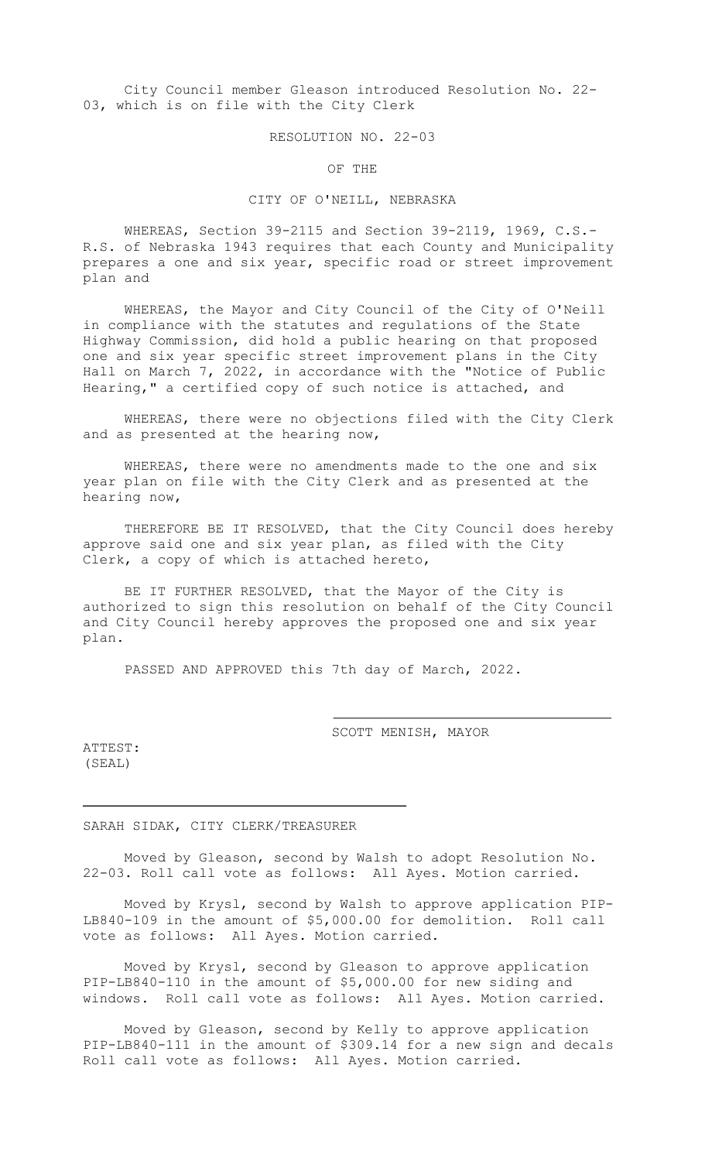City Council member Gleason introduced Resolution No. 22- 03, which is on file with the City Clerk

RESOLUTION NO. 22-03

OF THE

# CITY OF O'NEILL, NEBRASKA

WHEREAS, Section 39-2115 and Section 39-2119, 1969, C.S.- R.S. of Nebraska 1943 requires that each County and Municipality prepares a one and six year, specific road or street improvement plan and

WHEREAS, the Mayor and City Council of the City of O'Neill in compliance with the statutes and regulations of the State Highway Commission, did hold a public hearing on that proposed one and six year specific street improvement plans in the City Hall on March 7, 2022, in accordance with the "Notice of Public Hearing," a certified copy of such notice is attached, and

WHEREAS, there were no objections filed with the City Clerk and as presented at the hearing now,

WHEREAS, there were no amendments made to the one and six year plan on file with the City Clerk and as presented at the hearing now,

THEREFORE BE IT RESOLVED, that the City Council does hereby approve said one and six year plan, as filed with the City Clerk, a copy of which is attached hereto,

BE IT FURTHER RESOLVED, that the Mayor of the City is authorized to sign this resolution on behalf of the City Council and City Council hereby approves the proposed one and six year plan.

PASSED AND APPROVED this 7th day of March, 2022.

SCOTT MENISH, MAYOR

ATTEST: (SEAL)

SARAH SIDAK, CITY CLERK/TREASURER

Moved by Gleason, second by Walsh to adopt Resolution No. 22-03. Roll call vote as follows: All Ayes. Motion carried.

Moved by Krysl, second by Walsh to approve application PIP-LB840-109 in the amount of \$5,000.00 for demolition. Roll call vote as follows: All Ayes. Motion carried.

Moved by Krysl, second by Gleason to approve application PIP-LB840-110 in the amount of \$5,000.00 for new siding and windows. Roll call vote as follows: All Ayes. Motion carried.

Moved by Gleason, second by Kelly to approve application PIP-LB840-111 in the amount of \$309.14 for a new sign and decals Roll call vote as follows: All Ayes. Motion carried.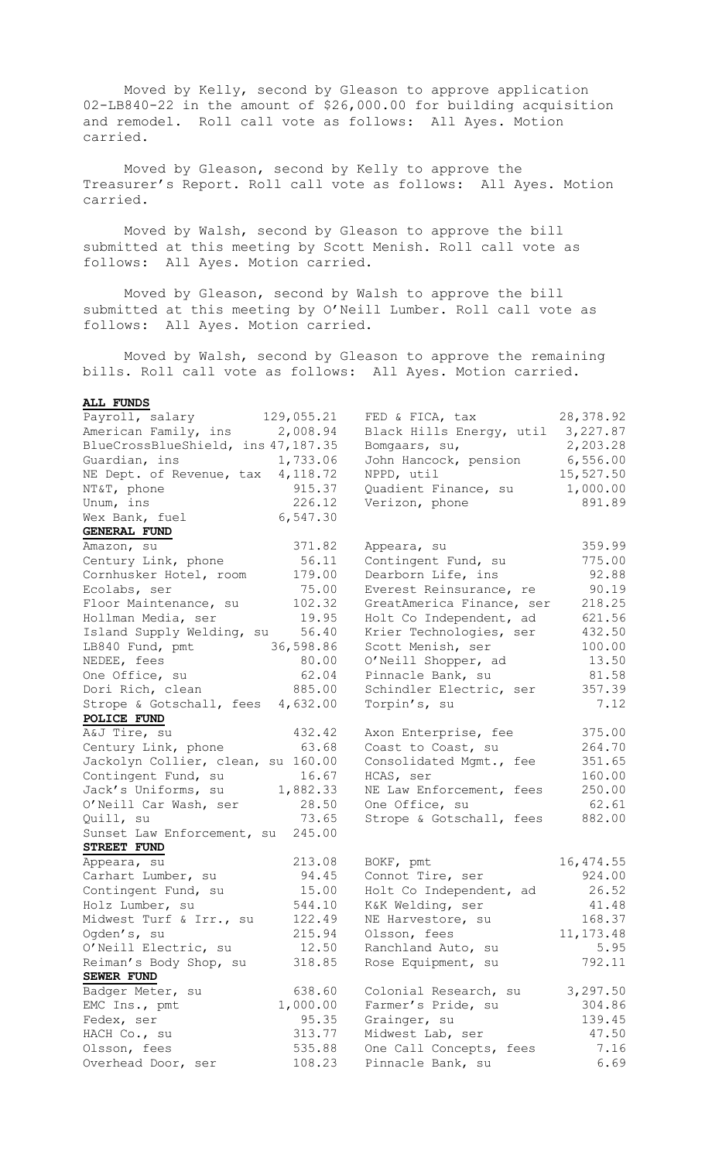Moved by Kelly, second by Gleason to approve application 02-LB840-22 in the amount of \$26,000.00 for building acquisition and remodel. Roll call vote as follows: All Ayes. Motion carried.

Moved by Gleason, second by Kelly to approve the Treasurer's Report. Roll call vote as follows: All Ayes. Motion carried.

Moved by Walsh, second by Gleason to approve the bill submitted at this meeting by Scott Menish. Roll call vote as follows: All Ayes. Motion carried.

Moved by Gleason, second by Walsh to approve the bill submitted at this meeting by O'Neill Lumber. Roll call vote as follows: All Ayes. Motion carried.

Moved by Walsh, second by Gleason to approve the remaining bills. Roll call vote as follows: All Ayes. Motion carried.

# **ALL FUNDS**

| Payroll, salary                     | 129,055.21 | FED & FICA, tax           | 28,378.92  |
|-------------------------------------|------------|---------------------------|------------|
| American Family, ins 2,008.94       |            | Black Hills Energy, util  | 3,227.87   |
| BlueCrossBlueShield, ins 47, 187.35 |            | Bomgaars, su,             | 2,203.28   |
| Guardian, ins                       | 1,733.06   | John Hancock, pension     | 6,556.00   |
| NE Dept. of Revenue, tax 4,118.72   |            | NPPD, util                | 15,527.50  |
| NT&T, phone                         | 915.37     | Quadient Finance, su      | 1,000.00   |
| Unum, ins                           | 226.12     | Verizon, phone            | 891.89     |
| Wex Bank, fuel                      | 6,547.30   |                           |            |
| <b>GENERAL FUND</b>                 |            |                           |            |
| Amazon, su                          | 371.82     | Appeara, su               | 359.99     |
| Century Link, phone                 | 56.11      | Contingent Fund, su       | 775.00     |
| Cornhusker Hotel, room              | 179.00     | Dearborn Life, ins        | 92.88      |
| Ecolabs, ser                        | 75.00      | Everest Reinsurance, re   | 90.19      |
| Floor Maintenance, su               | 102.32     | GreatAmerica Finance, ser | 218.25     |
| Hollman Media, ser                  | 19.95      | Holt Co Independent, ad   | 621.56     |
| Island Supply Welding, su           | 56.40      | Krier Technologies, ser   | 432.50     |
| LB840 Fund, pmt                     | 36,598.86  | Scott Menish, ser         | 100.00     |
| NEDEE, fees                         | 80.00      | O'Neill Shopper, ad       | 13.50      |
| One Office, su                      | 62.04      | Pinnacle Bank, su         | 81.58      |
| Dori Rich, clean                    | 885.00     | Schindler Electric, ser   | 357.39     |
| Strope & Gotschall, fees 4,632.00   |            | Torpin's, su              | 7.12       |
| POLICE FUND                         |            |                           |            |
| A&J Tire, su                        | 432.42     | Axon Enterprise, fee      | 375.00     |
| Century Link, phone                 | 63.68      | Coast to Coast, su        | 264.70     |
| Jackolyn Collier, clean, su 160.00  |            | Consolidated Mgmt., fee   | 351.65     |
| Contingent Fund, su                 | 16.67      | HCAS, ser                 | 160.00     |
| Jack's Uniforms, su                 | 1,882.33   | NE Law Enforcement, fees  | 250.00     |
| O'Neill Car Wash, ser               | 28.50      | One Office, su            | 62.61      |
| Quill, su                           | 73.65      | Strope & Gotschall, fees  | 882.00     |
| Sunset Law Enforcement, su 245.00   |            |                           |            |
| STREET FUND                         |            |                           |            |
| Appeara, su                         | 213.08     | BOKF, pmt                 | 16, 474.55 |
| Carhart Lumber, su                  | 94.45      | Connot Tire, ser          | 924.00     |
| Contingent Fund, su                 | 15.00      | Holt Co Independent, ad   | 26.52      |
| Holz Lumber, su                     | 544.10     | K&K Welding, ser          | 41.48      |
| Midwest Turf & Irr., su             | 122.49     | NE Harvestore, su         | 168.37     |
| Ogden's, su                         | 215.94     | Olsson, fees              | 11, 173.48 |
| O'Neill Electric, su                | 12.50      | Ranchland Auto, su        | 5.95       |
| Reiman's Body Shop, su              | 318.85     | Rose Equipment, su        | 792.11     |
| SEWER FUND                          |            |                           |            |
| Badger Meter, su                    | 638.60     | Colonial Research, su     | 3,297.50   |
| EMC Ins., pmt                       | 1,000.00   | Farmer's Pride, su        | 304.86     |
| Fedex, ser                          | 95.35      | Grainger, su              | 139.45     |
| HACH Co., su                        | 313.77     | Midwest Lab, ser          | 47.50      |
| Olsson, fees                        | 535.88     | One Call Concepts, fees   | 7.16       |
| Overhead Door, ser                  | 108.23     | Pinnacle Bank, su         | 6.69       |
|                                     |            |                           |            |